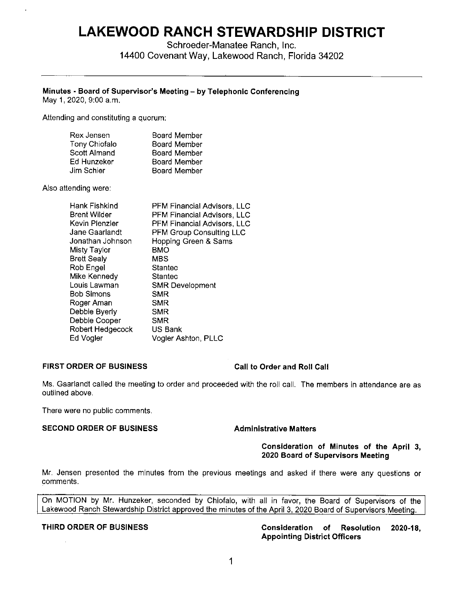# **LAKEWOOD RANCH STEWARDSHIP DISTRICT**

Schroeder-Manatee Ranch, Inc. 14400 Covenant Way, Lakewood Ranch, Florida 34202

# **Minutes • Board of Supervisor's Meeting - by Telephonic Conferencing**

May 1, 2020, 9:00 a.m.

Attending and constituting a quorum:

| Rex Jensen    | Board Member        |
|---------------|---------------------|
| Tony Chiofalo | <b>Board Member</b> |
| Scott Almand  | <b>Board Member</b> |
| Ed Hunzeker   | <b>Board Member</b> |
| Jim Schier    | <b>Board Member</b> |

Also attending were:

| Hank Fishkind      | <b>PFM Financial Advisors, LLC</b> |
|--------------------|------------------------------------|
| Brent Wilder.      | PFM Financial Advisors, LLC        |
| Kevin Plenzler     | PFM Financial Advisors, LLC        |
| Jane Gaarlandt     | PFM Group Consulting LLC           |
| Jonathan Johnson   | Hopping Green & Sams               |
| Misty Taylor       | <b>BMO</b>                         |
| <b>Brett Sealy</b> | MBS                                |
| Rob Engel          | Stantec                            |
| Mike Kennedy       | <b>Stantec</b>                     |
| Louis Lawman       | <b>SMR Development</b>             |
| Bob Simons         | <b>SMR</b>                         |
| Roger Aman         | <b>SMR</b>                         |
| Debble Byerly      | <b>SMR</b>                         |
| Debbie Cooper      | <b>SMR</b>                         |
| Robert Hedgecock   | US Bank                            |
| Ed Vogler          | Vogler Ashton, PLLC                |
|                    |                                    |

#### **FIRST ORDER OF BUSINESS Call to Order and Roll Call**

Ms. Gaarlandt called the meeting to order and proceeded with the roll call. The members in attendance are as outlined above.

There were no public comments.

#### **SECOND ORDER OF BUSINESS Administrative Matters**

#### **Consideration of Minutes of the April 3, 2020 Board of Supervisors Meeting**

Mr. Jensen presented the minutes from the previous meetings and asked if there were any questions or comments.

On MOTION by Mr. Hunzeker, seconded by Chiofalo, with all in favor, the Board of Supervisors of the Lakewood Ranch Stewardship District approved the minutes of the April 3, 2020 Board of Supervisors Meeting.

**THIRD ORDER OF BUSINESS Consideration of Resolution 2020-18, Appointing District Officers**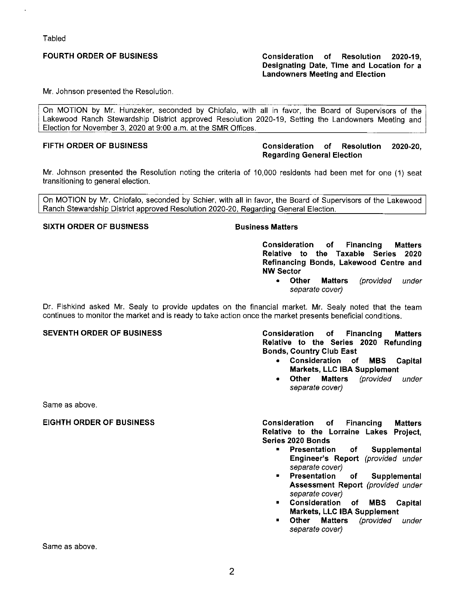Tabled

# **FOURTH ORDER OF BUSINESS**

### **Consideration of Resolution 2020-19, Designating Date, Time and Location for a Landowners Meeting and Election**

Mr. Johnson presented the Resolution.

On MOTION by Mr. Hunzeker, seconded by Chiofalo, with all in favor, the Board of Supervisors of the Lakewood Ranch Stewardship District approved Resolution 2020-19, Setting the Landowners Meeting and Election for November 3, 2020 at 9:00 a.m. at the SMR Offices.

### **FIFTH ORDER OF BUSINESS Consideration of Resolution 2020-20, Regarding General Election**

Mr. Johnson presented the Resolution noting the criteria of 10,000 residents had been met for one (1) seat transitioning to general election.

On MOTION by Mr. Chiofalo, seconded by Schier, with all in favor, the Board of Supervisors of the Lakewood Ranch Stewardship District approved Resolution 2020-20, Regarding General Election.

### **SIXTH ORDER OF BUSINESS Business Matters**

**Consideration of Financing Matters Relative to the Taxable Series 2020 Refinancing Bonds, Lakewood Centre and NW Sector** 

• **Other Matters** (provided under separate cover)

Dr. Fishkind asked Mr. Sealy to provide updates on the financial market. Mr. Sealy noted that the team continues to monitor the market and is ready to take action once the market presents beneficial conditions.

# **SEVENTH ORDER OF BUSINESS**

**Consideration of Financing Matters Relative to the Series 2020 Refunding Bonds, Country Club East** 

- **Consideration of MBS Capital Markets, LLC IBA Supplement**
- **other Matters** (provided under separate cover)

Same as above.

# **EIGHTH ORDER OF BUSINESS**

**Consideration of Financing Matters Relative to the Lorraine Lakes Project, Series 2020 Bonds** 

- **Presentation of Supplemental Engineer's Report** (provided under separate cover)<br>Presentation
- of Supplemental **Assessment Report** (provided under separate cover)
- **Consideration of MBS Capital Markets, LLC IBA Supplement**
- **Other Matters** (provided under separate cover)

Same as above.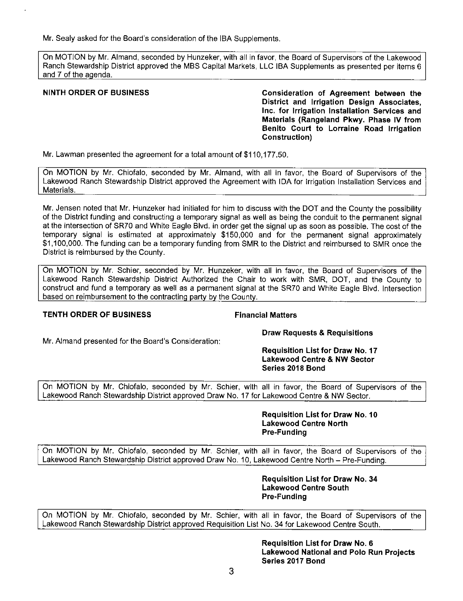Mr. Sealy asked for the Board's consideration of the IBA Supplements.

On MOTION by Mr. Almand, seconded by Hunzeker, with all in favor, the Board of Supervisors of the Lakewood Ranch Stewardship District approved the MBS Capital Markets, LLC IBA Supplements as presented per items 6 and 7 of the agenda.

**NINTH ORDER OF BUSINESS Consideration of Agreement between the District and Irrigation Design Associates, Inc. for Irrigation Installation Services and Materials (Rangeland Pkwy. Phase IV from Benito Court to Lorraine Road Irrigation Construction)** 

Mr. Lawman presented the agreement for a total amount of \$[110,177.50](https://110,177.50).

On MOTION by Mr. Chiofalo, seconded by Mr. Almand, with all in favor, the Board of Supervisors of the Lakewood Ranch Stewardship District approved the Agreement with IDA for Irrigation Installation Services and Materials.

Mr. Jensen noted that Mr. Hunzeker had initiated for him to discuss with the DOT and the County the possibility of the District funding and constructing a temporary signal as well as being the conduit to the permanent signal at the intersection of SR70 and White Eagle Blvd. in order get the signal up as soon as possible. The cost of the temporary signal is estimated at approximately \$150,000 and for the permanent signal approximately \$1,100,000. The funding can be a temporary funding from SMR to the District and reimbursed to SMR once the District is reimbursed by the County.

On MOTION by Mr. Schier, seconded by Mr. Hunzeker, with all in favor, the Board of Supervisors of the Lakewood Ranch Stewardship District Authorized the Chair to work with SMR, DOT, and the County to construct and fund a temporary as well as a permanent signal at the SR70 and White Eagle Blvd. Intersection based on reimbursement to the contracting party by the County.

# **TENTH ORDER OF BUSINESS Financial Matters**

**Draw Requests & Requisitions** 

Mr. Almand presented for the Board's Consideration:

#### **Requisition List for Draw No. 17 Lakewood Centre & NW Sector Series 2018 Bond**

On MOTION by Mr. Chiofalo, seconded by Mr. Schier, with all in favor, the Board of Supervisors of the Lakewood Ranch Stewardship District approved Draw No. 17 for Lakewood Centre & NW Sector.

> **Requisition List for Draw No. 10 Lakewood Centre North Pre-Funding**

On MOTION by Mr. Chiofalo, seconded by Mr. Schier, with all in favor, the Board of Supervisors of the Lakewood Ranch Stewardship District approved Draw No. 10, Lakewood Centre North - Pre-Funding.

> **Requisition List for Draw No. 34 Lakewood Centre South Pre-Funding**

On MOTION by Mr. Chiofalo, seconded by Mr. Schier, with all in favor, the Board of Supervisors of the Lakewood Ranch Stewardship District approved Requisition List No. 34 for Lakewood Centre South.

> **Requisition List for Draw No. 6 Lakewood National and Polo Run Projects Series 2017 Bond**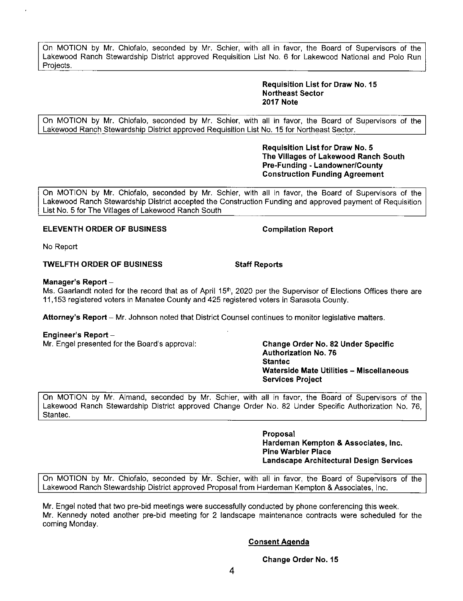**Change Order No. 15** 

On MOTION by Mr. Chiofalo, seconded by Mr. Schier, with all in favor, the Board of Supervisors of the Lakewood Ranch Stewardship District approved Requisition List No. 6 for Lakewood National and Polo Run Projects.

> **Requisition List for Draw No. 15 Northeast Sector 2017 Note**

On MOTION by Mr. Chiofalo, seconded by Mr. Schier, with all in favor, the Board of Supervisors of the Lakewood Ranch Stewardship District approved Requisition List No. 15 for Northeast Sector.

> **Requisition List for Draw No. 5 The Villages of Lakewood Ranch South Pre-Funding - Landowner/County Construction Funding Agreement**

On MOTION by **Mr.** Chiofalo, seconded by **Mr.** Schier, with all in favor, the Board of Supervisors of the Lakewood Ranch Stewardship District accepted the Construction Funding and approved payment of Requisition List No. 5 for The Villages of Lakewood Ranch South

# **ELEVENTH ORDER OF BUSINESS COMPILATION COMPILATION Report**

No Report

# **TWELFTH ORDER OF BUSINESS Staff Reports**

### **Manager's Report** -

Ms. Gaarlandt noted for the record that as of April 15<sup>th</sup>, 2020 per the Supervisor of Elections Offices there are 11,153 registered voters in Manatee County and 425 registered voters in Sarasota County.

**Attorney's Report** - Mr. Johnson noted that District Counsel continues to monitor legislative matters.

# **Engineer's Report** -

**Mr.** Engel presented for the Board's approval: **Change Order No. 82 Under Specific** 

**Authorization No. 76 Staniec Waterside Mate Utilities - Miscellaneous Services Project** 

On MOTION by Mr. Almand, seconded by Mr. Schier, with all in favor, the Board of Supervisors of the Lakewood Ranch Stewardship District approved Change Order No. 82 Under Specific Authorization No. 76, Stantec.

> **Proposal Hardeman Kempton & Associates, Inc. Pine Warbler Place Landscape Architectural Design Services**

On MOTION by Mr. Chiofalo, seconded by **Mr.** Schier, with all in favor, the Board of Supervisors of the Lakewood Ranch Stewardship District approved Proposal from Hardeman Kempton & Associates, Inc.

Mr. Engel noted that two pre-bid meetings were successfully conducted by phone conferencing this week. Mr. Kennedy noted another pre-bid meeting for 2 landscape maintenance contracts were scheduled for the coming Monday.

# **Consent Agenda**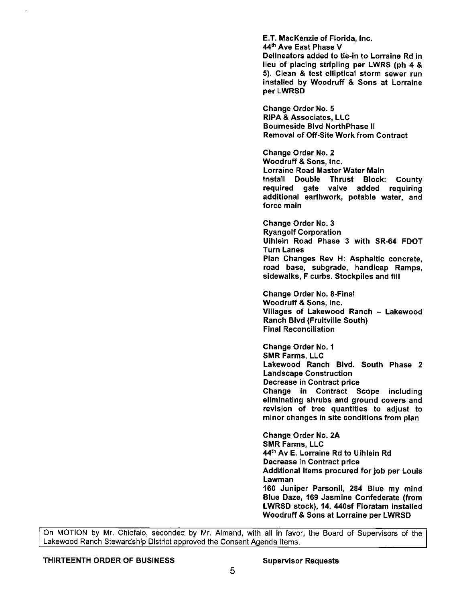E.T. MacKenzie of Florida, Inc. 44th Ave East Phase V Delineators added to tie-in to Lorraine Rd in lieu of placing stripling per LWRS (ph 4 & 5). Clean & test elliptical storm sewer run installed by Woodruff & Sons at Lorraine perLWRSD

Change Order No. 5 **RIPA** & Associates, LLC Bourneside Blvd NorthPhase II Removal of Off-Site Work from Contract

Change Order No. 2 Woodruff & Sons, Inc. Lorraine Road Master Water Main Install Double Thrust Block: County required gate valve added requiring additional earthwork, potable water, and force main

Change Order No. 3 Ryangolf Corporation Uihlein Road Phase 3 with SR-64 FDOT Turn Lanes Plan Changes Rev H: Asphaltic concrete, road base, subgrade, handicap Ramps, sidewalks, F curbs. Stockpiles and fill

Change Order No. 8-Final Woodruff & Sons, Inc. Villages of Lakewood Ranch - Lakewood Ranch Blvd (Fruitville South) Final Reconciliation

Change Order No. 1 SMR Farms, LLC Lakewood Ranch Blvd. South Phase 2 Landscape Construction Decrease in Contract price Change in Contract Scope including eliminating shrubs and ground covers and revision of tree quantities to adjust to minor changes in site conditions from plan

Change Order No. 2A SMR Farms, LLC **44th Av** E. Lorraine Rd to Uihlein Rd Decrease in Contract price Additional Items procured for job per Louis Lawman 160 Juniper Parsonii, 284 Blue my mind Blue Daze, 169 Jasmine Confederate (from LWRSD stock), 14, 440sf Floratam installed Woodruff & Sons at Lorraine per LWRSD

On MOTION by Mr. Chiofalo, seconded by Mr. Almand, with all in favor, the Board of Supervisors of the Lakewood Ranch Stewardship District approved the Consent Agenda Items.